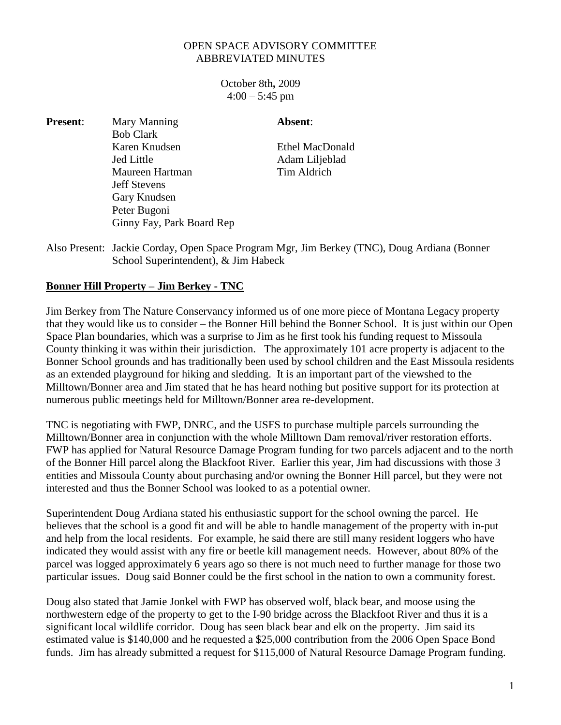## OPEN SPACE ADVISORY COMMITTEE ABBREVIATED MINUTES

Absent:

October 8th**,** 2009  $4:00 - 5:45$  pm

| <b>Present:</b> | Mary Manning              |
|-----------------|---------------------------|
|                 | <b>Bob Clark</b>          |
|                 | Karen Knudsen             |
|                 | <b>Jed Little</b>         |
|                 | Maureen Hartman           |
|                 | <b>Jeff Stevens</b>       |
|                 | Gary Knudsen              |
|                 | Peter Bugoni              |
|                 | Ginny Fay, Park Board Rep |

Ethel MacDonald Adam Liljeblad Tim Aldrich

Also Present: Jackie Corday, Open Space Program Mgr, Jim Berkey (TNC), Doug Ardiana (Bonner School Superintendent), & Jim Habeck

## **Bonner Hill Property – Jim Berkey - TNC**

Jim Berkey from The Nature Conservancy informed us of one more piece of Montana Legacy property that they would like us to consider – the Bonner Hill behind the Bonner School. It is just within our Open Space Plan boundaries, which was a surprise to Jim as he first took his funding request to Missoula County thinking it was within their jurisdiction. The approximately 101 acre property is adjacent to the Bonner School grounds and has traditionally been used by school children and the East Missoula residents as an extended playground for hiking and sledding. It is an important part of the viewshed to the Milltown/Bonner area and Jim stated that he has heard nothing but positive support for its protection at numerous public meetings held for Milltown/Bonner area re-development.

TNC is negotiating with FWP, DNRC, and the USFS to purchase multiple parcels surrounding the Milltown/Bonner area in conjunction with the whole Milltown Dam removal/river restoration efforts. FWP has applied for Natural Resource Damage Program funding for two parcels adjacent and to the north of the Bonner Hill parcel along the Blackfoot River. Earlier this year, Jim had discussions with those 3 entities and Missoula County about purchasing and/or owning the Bonner Hill parcel, but they were not interested and thus the Bonner School was looked to as a potential owner.

Superintendent Doug Ardiana stated his enthusiastic support for the school owning the parcel. He believes that the school is a good fit and will be able to handle management of the property with in-put and help from the local residents. For example, he said there are still many resident loggers who have indicated they would assist with any fire or beetle kill management needs. However, about 80% of the parcel was logged approximately 6 years ago so there is not much need to further manage for those two particular issues. Doug said Bonner could be the first school in the nation to own a community forest.

Doug also stated that Jamie Jonkel with FWP has observed wolf, black bear, and moose using the northwestern edge of the property to get to the I-90 bridge across the Blackfoot River and thus it is a significant local wildlife corridor. Doug has seen black bear and elk on the property. Jim said its estimated value is \$140,000 and he requested a \$25,000 contribution from the 2006 Open Space Bond funds. Jim has already submitted a request for \$115,000 of Natural Resource Damage Program funding.